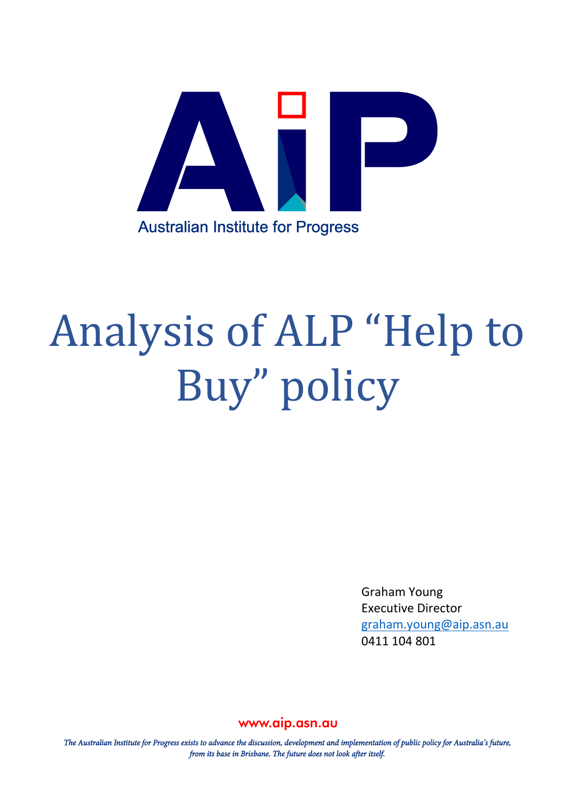

# Analysis of ALP "Help to Buy" policy

Graham Young Executive Director [graham.young@aip.asn.au](mailto:graham.young@aip.asn.au) 0411 104 801

## www.aip.asn.au

The Australian Institute for Progress exists to advance the discussion, development and implementation of public policy for Australia's future, from its base in Brisbane. The future does not look after itself.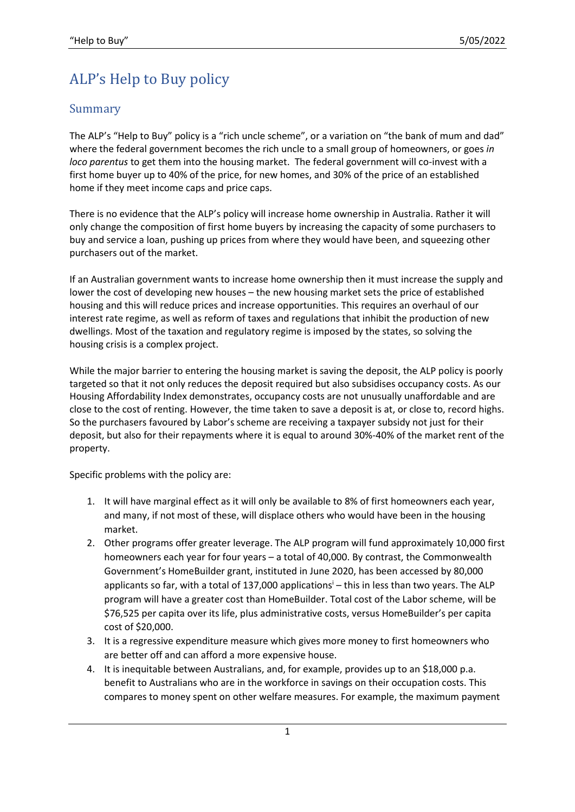## ALP's Help to Buy policy

## Summary

The ALP's "Help to Buy" policy is a "rich uncle scheme", or a variation on "the bank of mum and dad" where the federal government becomes the rich uncle to a small group of homeowners, or goes *in loco parentus* to get them into the housing market. The federal government will co-invest with a first home buyer up to 40% of the price, for new homes, and 30% of the price of an established home if they meet income caps and price caps.

There is no evidence that the ALP's policy will increase home ownership in Australia. Rather it will only change the composition of first home buyers by increasing the capacity of some purchasers to buy and service a loan, pushing up prices from where they would have been, and squeezing other purchasers out of the market.

If an Australian government wants to increase home ownership then it must increase the supply and lower the cost of developing new houses – the new housing market sets the price of established housing and this will reduce prices and increase opportunities. This requires an overhaul of our interest rate regime, as well as reform of taxes and regulations that inhibit the production of new dwellings. Most of the taxation and regulatory regime is imposed by the states, so solving the housing crisis is a complex project.

While the major barrier to entering the housing market is saving the deposit, the ALP policy is poorly targeted so that it not only reduces the deposit required but also subsidises occupancy costs. As our Housing Affordability Index demonstrates, occupancy costs are not unusually unaffordable and are close to the cost of renting. However, the time taken to save a deposit is at, or close to, record highs. So the purchasers favoured by Labor's scheme are receiving a taxpayer subsidy not just for their deposit, but also for their repayments where it is equal to around 30%-40% of the market rent of the property.

Specific problems with the policy are:

- 1. It will have marginal effect as it will only be available to 8% of first homeowners each year, and many, if not most of these, will displace others who would have been in the housing market.
- 2. Other programs offer greater leverage. The ALP program will fund approximately 10,000 first homeowners each year for four years – a total of 40,000. By contrast, the Commonwealth Government's HomeBuilder grant, instituted in June 2020, has been accessed by 80,000 applicants so far, with a total of  $137,000$  applications<sup>i</sup> – this in less than two years. The ALP program will have a greater cost than HomeBuilder. Total cost of the Labor scheme, will be \$76,525 per capita over its life, plus administrative costs, versus HomeBuilder's per capita cost of \$20,000.
- 3. It is a regressive expenditure measure which gives more money to first homeowners who are better off and can afford a more expensive house.
- 4. It is inequitable between Australians, and, for example, provides up to an \$18,000 p.a. benefit to Australians who are in the workforce in savings on their occupation costs. This compares to money spent on other welfare measures. For example, the maximum payment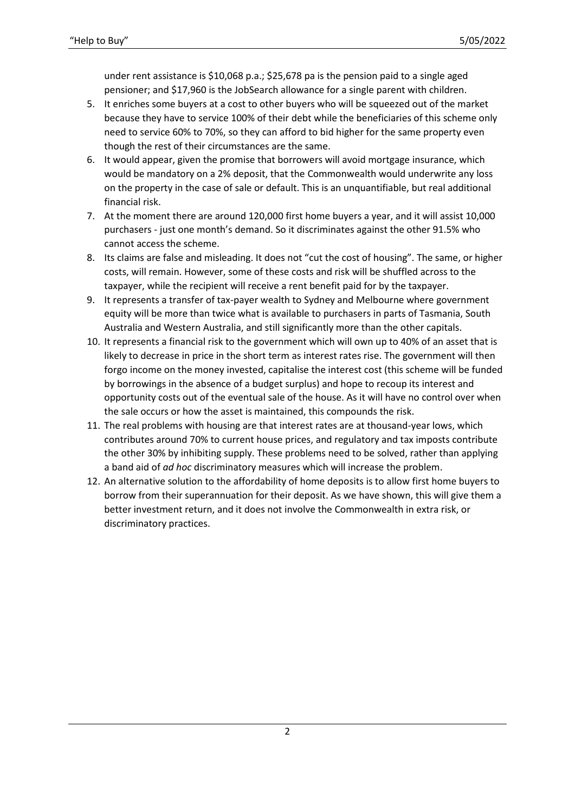under rent assistance is \$10,068 p.a.; \$25,678 pa is the pension paid to a single aged pensioner; and \$17,960 is the JobSearch allowance for a single parent with children.

- 5. It enriches some buyers at a cost to other buyers who will be squeezed out of the market because they have to service 100% of their debt while the beneficiaries of this scheme only need to service 60% to 70%, so they can afford to bid higher for the same property even though the rest of their circumstances are the same.
- 6. It would appear, given the promise that borrowers will avoid mortgage insurance, which would be mandatory on a 2% deposit, that the Commonwealth would underwrite any loss on the property in the case of sale or default. This is an unquantifiable, but real additional financial risk.
- 7. At the moment there are around 120,000 first home buyers a year, and it will assist 10,000 purchasers - just one month's demand. So it discriminates against the other 91.5% who cannot access the scheme.
- 8. Its claims are false and misleading. It does not "cut the cost of housing". The same, or higher costs, will remain. However, some of these costs and risk will be shuffled across to the taxpayer, while the recipient will receive a rent benefit paid for by the taxpayer.
- 9. It represents a transfer of tax-payer wealth to Sydney and Melbourne where government equity will be more than twice what is available to purchasers in parts of Tasmania, South Australia and Western Australia, and still significantly more than the other capitals.
- 10. It represents a financial risk to the government which will own up to 40% of an asset that is likely to decrease in price in the short term as interest rates rise. The government will then forgo income on the money invested, capitalise the interest cost (this scheme will be funded by borrowings in the absence of a budget surplus) and hope to recoup its interest and opportunity costs out of the eventual sale of the house. As it will have no control over when the sale occurs or how the asset is maintained, this compounds the risk.
- 11. The real problems with housing are that interest rates are at thousand-year lows, which contributes around 70% to current house prices, and regulatory and tax imposts contribute the other 30% by inhibiting supply. These problems need to be solved, rather than applying a band aid of *ad hoc* discriminatory measures which will increase the problem.
- 12. An alternative solution to the affordability of home deposits is to allow first home buyers to borrow from their superannuation for their deposit. As we have shown, this will give them a better investment return, and it does not involve the Commonwealth in extra risk, or discriminatory practices.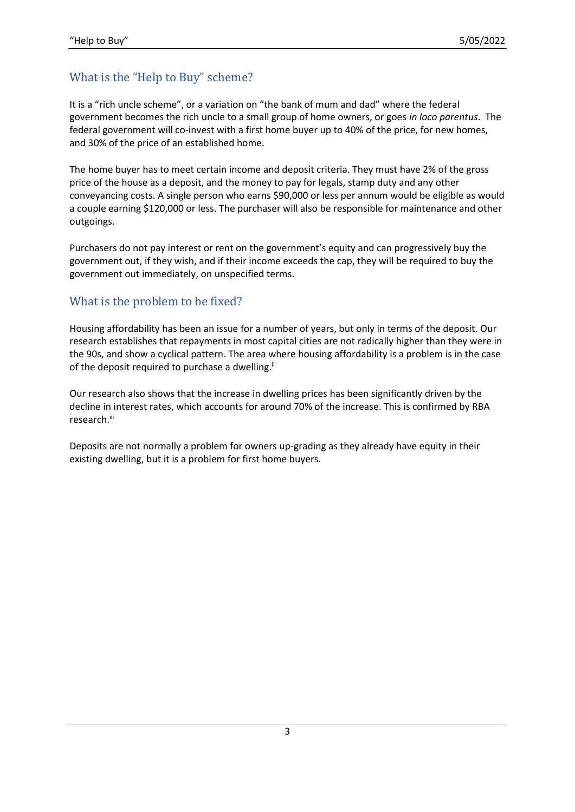## What is the "Help to Buy" scheme?

It is a "rich uncle scheme", or a variation on "the bank of mum and dad" where the federal government becomes the rich uncle to a small group of home owners, or goes *in loco parentus*. The federal government will co-invest with a first home buyer up to 40% of the price, for new homes, and 30% of the price of an established home.

The home buyer has to meet certain income and deposit criteria. They must have 2% of the gross price of the house as a deposit, and the money to pay for legals, stamp duty and any other conveyancing costs. A single person who earns \$90,000 or less per annum would be eligible as would a couple earning \$120,000 or less. The purchaser will also be responsible for maintenance and other outgoings.

Purchasers do not pay interest or rent on the government's equity and can progressively buy the government out, if they wish, and if their income exceeds the cap, they will be required to buy the government out immediately, on unspecified terms.

## What is the problem to be fixed?

Housing affordability has been an issue for a number of years, but only in terms of the deposit. Our research establishes that repayments in most capital cities are not radically higher than they were in the 90s, and show a cyclical pattern. The area where housing affordability is a problem is in the case of the deposit required to purchase a dwelling.<sup>ii</sup>

Our research also shows that the increase in dwelling prices has been significantly driven by the decline in interest rates, which accounts for around 70% of the increase. This is confirmed by RBA research.<sup>iii</sup>

Deposits are not normally a problem for owners up-grading as they already have equity in their existing dwelling, but it is a problem for first home buyers.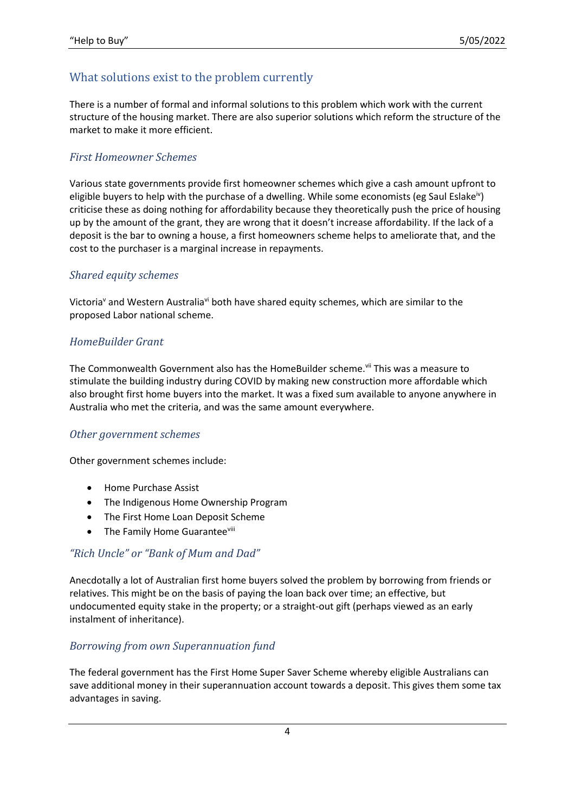## What solutions exist to the problem currently

There is a number of formal and informal solutions to this problem which work with the current structure of the housing market. There are also superior solutions which reform the structure of the market to make it more efficient.

#### *First Homeowner Schemes*

Various state governments provide first homeowner schemes which give a cash amount upfront to eligible buyers to help with the purchase of a dwelling. While some economists (eg Saul Eslakeiv) criticise these as doing nothing for affordability because they theoretically push the price of housing up by the amount of the grant, they are wrong that it doesn't increase affordability. If the lack of a deposit is the bar to owning a house, a first homeowners scheme helps to ameliorate that, and the cost to the purchaser is a marginal increase in repayments.

#### *Shared equity schemes*

Victoria<sup>v</sup> and Western Australia<sup>vi</sup> both have shared equity schemes, which are similar to the proposed Labor national scheme.

#### *HomeBuilder Grant*

The Commonwealth Government also has the HomeBuilder scheme.<sup>vii</sup> This was a measure to stimulate the building industry during COVID by making new construction more affordable which also brought first home buyers into the market. It was a fixed sum available to anyone anywhere in Australia who met the criteria, and was the same amount everywhere.

#### *Other government schemes*

Other government schemes include:

- Home Purchase Assist
- The Indigenous Home Ownership Program
- The First Home Loan Deposit Scheme
- The Family Home Guaranteeviii

#### *"Rich Uncle" or "Bank of Mum and Dad"*

Anecdotally a lot of Australian first home buyers solved the problem by borrowing from friends or relatives. This might be on the basis of paying the loan back over time; an effective, but undocumented equity stake in the property; or a straight-out gift (perhaps viewed as an early instalment of inheritance).

#### *Borrowing from own Superannuation fund*

The federal government has the First Home Super Saver Scheme whereby eligible Australians can save additional money in their superannuation account towards a deposit. This gives them some tax advantages in saving.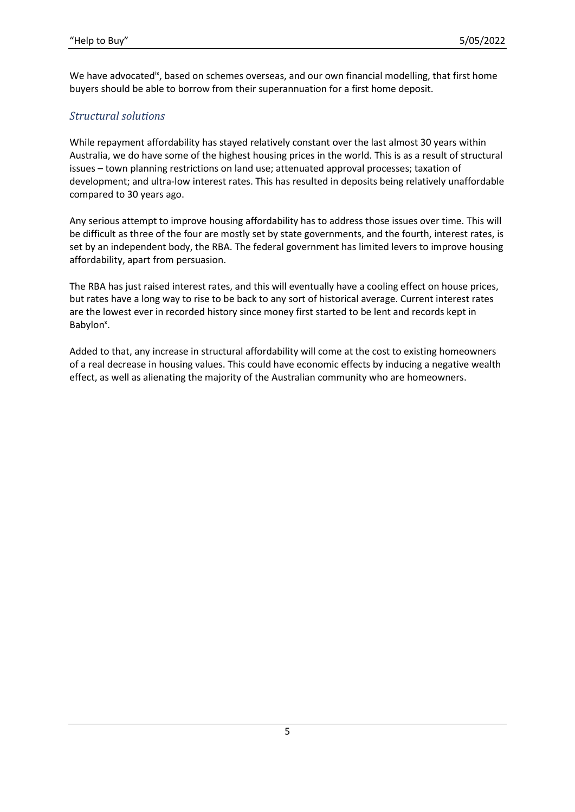We have advocated<sup>ix</sup>, based on schemes overseas, and our own financial modelling, that first home buyers should be able to borrow from their superannuation for a first home deposit.

## *Structural solutions*

While repayment affordability has stayed relatively constant over the last almost 30 years within Australia, we do have some of the highest housing prices in the world. This is as a result of structural issues – town planning restrictions on land use; attenuated approval processes; taxation of development; and ultra-low interest rates. This has resulted in deposits being relatively unaffordable compared to 30 years ago.

Any serious attempt to improve housing affordability has to address those issues over time. This will be difficult as three of the four are mostly set by state governments, and the fourth, interest rates, is set by an independent body, the RBA. The federal government has limited levers to improve housing affordability, apart from persuasion.

The RBA has just raised interest rates, and this will eventually have a cooling effect on house prices, but rates have a long way to rise to be back to any sort of historical average. Current interest rates are the lowest ever in recorded history since money first started to be lent and records kept in Babylon<sup>x</sup>.

Added to that, any increase in structural affordability will come at the cost to existing homeowners of a real decrease in housing values. This could have economic effects by inducing a negative wealth effect, as well as alienating the majority of the Australian community who are homeowners.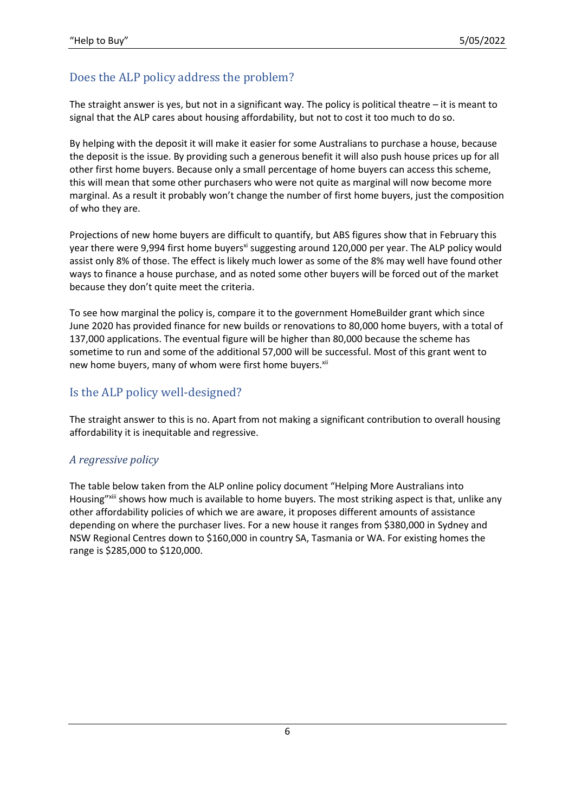## Does the ALP policy address the problem?

The straight answer is yes, but not in a significant way. The policy is political theatre  $-$  it is meant to signal that the ALP cares about housing affordability, but not to cost it too much to do so.

By helping with the deposit it will make it easier for some Australians to purchase a house, because the deposit is the issue. By providing such a generous benefit it will also push house prices up for all other first home buyers. Because only a small percentage of home buyers can access this scheme, this will mean that some other purchasers who were not quite as marginal will now become more marginal. As a result it probably won't change the number of first home buyers, just the composition of who they are.

Projections of new home buyers are difficult to quantify, but ABS figures show that in February this year there were 9,994 first home buyers<sup>xi</sup> suggesting around 120,000 per year. The ALP policy would assist only 8% of those. The effect is likely much lower as some of the 8% may well have found other ways to finance a house purchase, and as noted some other buyers will be forced out of the market because they don't quite meet the criteria.

To see how marginal the policy is, compare it to the government HomeBuilder grant which since June 2020 has provided finance for new builds or renovations to 80,000 home buyers, with a total of 137,000 applications. The eventual figure will be higher than 80,000 because the scheme has sometime to run and some of the additional 57,000 will be successful. Most of this grant went to new home buyers, many of whom were first home buyers.<sup>xii</sup>

## Is the ALP policy well-designed?

The straight answer to this is no. Apart from not making a significant contribution to overall housing affordability it is inequitable and regressive.

#### *A regressive policy*

The table below taken from the ALP online policy document "Helping More Australians into Housing"<sup>xiii</sup> shows how much is available to home buyers. The most striking aspect is that, unlike any other affordability policies of which we are aware, it proposes different amounts of assistance depending on where the purchaser lives. For a new house it ranges from \$380,000 in Sydney and NSW Regional Centres down to \$160,000 in country SA, Tasmania or WA. For existing homes the range is \$285,000 to \$120,000.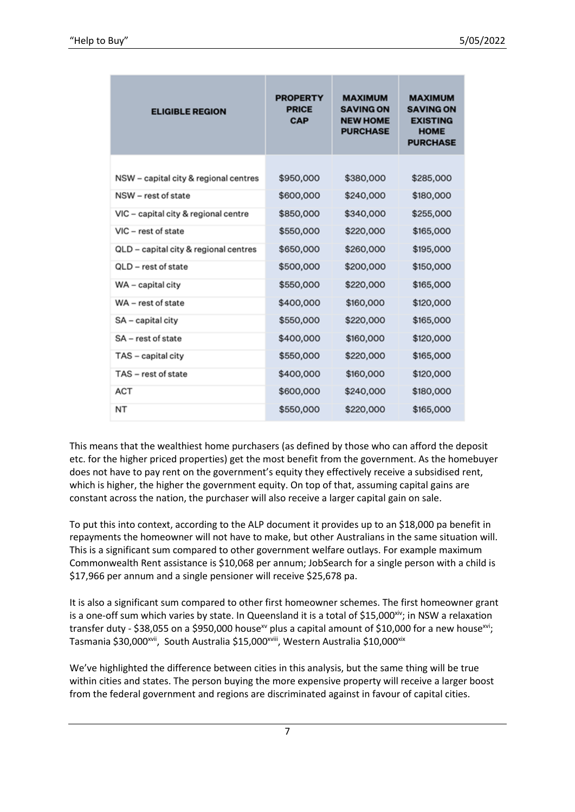| <b>ELIGIBLE REGION</b>                | <b>PROPERTY</b><br><b>PRICE</b><br><b>CAP</b> | <b>MAXIMUM</b><br><b>SAVING ON</b><br><b>NEW HOME</b><br><b>PURCHASE</b> | <b>MAXIMUM</b><br><b>SAVING ON</b><br><b>EXISTING</b><br><b>HOME</b><br><b>PURCHASE</b> |
|---------------------------------------|-----------------------------------------------|--------------------------------------------------------------------------|-----------------------------------------------------------------------------------------|
|                                       |                                               |                                                                          |                                                                                         |
| NSW - capital city & regional centres | \$950,000                                     | \$380,000                                                                | \$285,000                                                                               |
| NSW - rest of state                   | \$600,000                                     | \$240,000                                                                | \$180,000                                                                               |
| VIC - capital city & regional centre  | \$850,000                                     | \$340,000                                                                | \$255,000                                                                               |
| VIC - rest of state                   | \$550,000                                     | \$220,000                                                                | \$165,000                                                                               |
| QLD - capital city & regional centres | \$650,000                                     | \$260,000                                                                | \$195,000                                                                               |
| OLD - rest of state                   | \$500,000                                     | \$200,000                                                                | \$150,000                                                                               |
| WA - capital city                     | \$550,000                                     | \$220,000                                                                | \$165,000                                                                               |
| WA - rest of state                    | \$400,000                                     | \$160,000                                                                | \$120,000                                                                               |
| SA - capital city                     | \$550,000                                     | \$220,000                                                                | \$165,000                                                                               |
| SA - rest of state                    | \$400,000                                     | \$160,000                                                                | \$120,000                                                                               |
| TAS - capital city                    | \$550,000                                     | \$220,000                                                                | \$165,000                                                                               |
| TAS - rest of state                   | \$400,000                                     | \$160,000                                                                | \$120,000                                                                               |
| ACT                                   | \$600,000                                     | \$240,000                                                                | \$180,000                                                                               |
| NT                                    | \$550,000                                     | \$220,000                                                                | \$165,000                                                                               |

This means that the wealthiest home purchasers (as defined by those who can afford the deposit etc. for the higher priced properties) get the most benefit from the government. As the homebuyer does not have to pay rent on the government's equity they effectively receive a subsidised rent, which is higher, the higher the government equity. On top of that, assuming capital gains are constant across the nation, the purchaser will also receive a larger capital gain on sale.

To put this into context, according to the ALP document it provides up to an \$18,000 pa benefit in repayments the homeowner will not have to make, but other Australians in the same situation will. This is a significant sum compared to other government welfare outlays. For example maximum Commonwealth Rent assistance is \$10,068 per annum; JobSearch for a single person with a child is \$17,966 per annum and a single pensioner will receive \$25,678 pa.

It is also a significant sum compared to other first homeowner schemes. The first homeowner grant is a one-off sum which varies by state. In Queensland it is a total of \$15,000<sup>xiv</sup>; in NSW a relaxation transfer duty - \$38,055 on a \$950,000 house<sup>xv</sup> plus a capital amount of \$10,000 for a new house<sup>xvi</sup>; Tasmania \$30,000<sup>xvii</sup>, South Australia \$15,000<sup>xviii</sup>, Western Australia \$10,000<sup>xix</sup>

We've highlighted the difference between cities in this analysis, but the same thing will be true within cities and states. The person buying the more expensive property will receive a larger boost from the federal government and regions are discriminated against in favour of capital cities.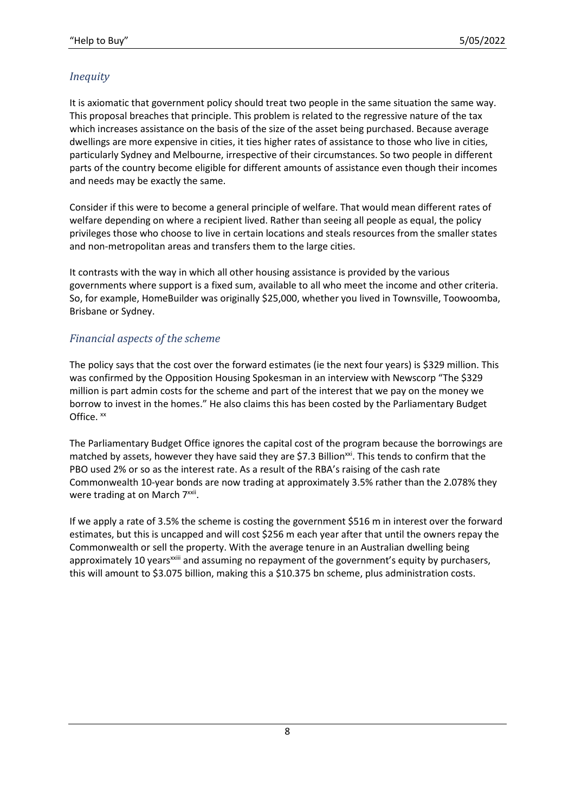## *Inequity*

It is axiomatic that government policy should treat two people in the same situation the same way. This proposal breaches that principle. This problem is related to the regressive nature of the tax which increases assistance on the basis of the size of the asset being purchased. Because average dwellings are more expensive in cities, it ties higher rates of assistance to those who live in cities, particularly Sydney and Melbourne, irrespective of their circumstances. So two people in different parts of the country become eligible for different amounts of assistance even though their incomes and needs may be exactly the same.

Consider if this were to become a general principle of welfare. That would mean different rates of welfare depending on where a recipient lived. Rather than seeing all people as equal, the policy privileges those who choose to live in certain locations and steals resources from the smaller states and non-metropolitan areas and transfers them to the large cities.

It contrasts with the way in which all other housing assistance is provided by the various governments where support is a fixed sum, available to all who meet the income and other criteria. So, for example, HomeBuilder was originally \$25,000, whether you lived in Townsville, Toowoomba, Brisbane or Sydney.

#### *Financial aspects of the scheme*

The policy says that the cost over the forward estimates (ie the next four years) is \$329 million. This was confirmed by the Opposition Housing Spokesman in an interview with Newscorp "The \$329 million is part admin costs for the scheme and part of the interest that we pay on the money we borrow to invest in the homes." He also claims this has been costed by the Parliamentary Budget Office.  $^{xx}$ 

The Parliamentary Budget Office ignores the capital cost of the program because the borrowings are matched by assets, however they have said they are \$7.3 Billion<sup>xxi</sup>. This tends to confirm that the PBO used 2% or so as the interest rate. As a result of the RBA's raising of the cash rate Commonwealth 10-year bonds are now trading at approximately 3.5% rather than the 2.078% they were trading at on March 7<sup>xxii</sup>.

If we apply a rate of 3.5% the scheme is costing the government \$516 m in interest over the forward estimates, but this is uncapped and will cost \$256 m each year after that until the owners repay the Commonwealth or sell the property. With the average tenure in an Australian dwelling being approximately 10 years<sup>xxiii</sup> and assuming no repayment of the government's equity by purchasers, this will amount to \$3.075 billion, making this a \$10.375 bn scheme, plus administration costs.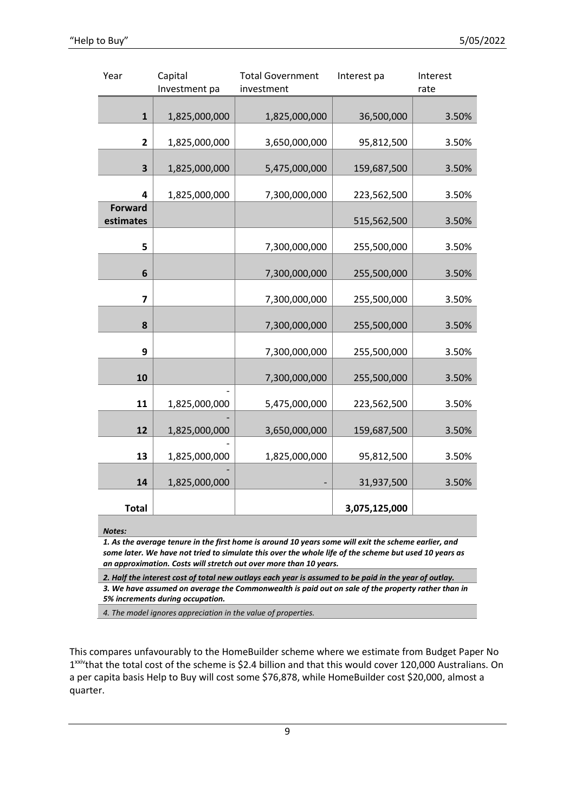| Year                    | Capital       | <b>Total Government</b> | Interest pa   | Interest |
|-------------------------|---------------|-------------------------|---------------|----------|
|                         | Investment pa | investment              |               | rate     |
|                         |               |                         |               |          |
| $\mathbf{1}$            | 1,825,000,000 | 1,825,000,000           | 36,500,000    | 3.50%    |
|                         |               |                         |               |          |
| $\overline{\mathbf{2}}$ | 1,825,000,000 | 3,650,000,000           | 95,812,500    | 3.50%    |
| 3                       | 1,825,000,000 | 5,475,000,000           | 159,687,500   | 3.50%    |
| 4                       | 1,825,000,000 | 7,300,000,000           | 223,562,500   | 3.50%    |
| <b>Forward</b>          |               |                         |               |          |
| estimates               |               |                         | 515,562,500   | 3.50%    |
|                         |               |                         |               |          |
| 5                       |               | 7,300,000,000           | 255,500,000   | 3.50%    |
|                         |               |                         |               |          |
| 6                       |               | 7,300,000,000           | 255,500,000   | 3.50%    |
| $\overline{\mathbf{z}}$ |               | 7,300,000,000           | 255,500,000   | 3.50%    |
| 8                       |               | 7,300,000,000           | 255,500,000   | 3.50%    |
|                         |               |                         |               |          |
| 9                       |               | 7,300,000,000           | 255,500,000   | 3.50%    |
| 10                      |               | 7,300,000,000           | 255,500,000   | 3.50%    |
|                         |               |                         |               |          |
| 11                      | 1,825,000,000 | 5,475,000,000           | 223,562,500   | 3.50%    |
|                         |               |                         |               |          |
| 12                      | 1,825,000,000 | 3,650,000,000           | 159,687,500   | 3.50%    |
|                         |               |                         |               |          |
| 13                      | 1,825,000,000 | 1,825,000,000           | 95,812,500    | 3.50%    |
| 14                      | 1,825,000,000 |                         | 31,937,500    | 3.50%    |
| <b>Total</b>            |               |                         | 3,075,125,000 |          |

*Notes:* 

*1. As the average tenure in the first home is around 10 years some will exit the scheme earlier, and some later. We have not tried to simulate this over the whole life of the scheme but used 10 years as an approximation. Costs will stretch out over more than 10 years.*

*2. Half the interest cost of total new outlays each year is assumed to be paid in the year of outlay. 3. We have assumed on average the Commonwealth is paid out on sale of the property rather than in 5% increments during occupation.*

*4. The model ignores appreciation in the value of properties.*

This compares unfavourably to the HomeBuilder scheme where we estimate from Budget Paper No 1<sup>xxiv</sup>that the total cost of the scheme is \$2.4 billion and that this would cover 120,000 Australians. On a per capita basis Help to Buy will cost some \$76,878, while HomeBuilder cost \$20,000, almost a quarter.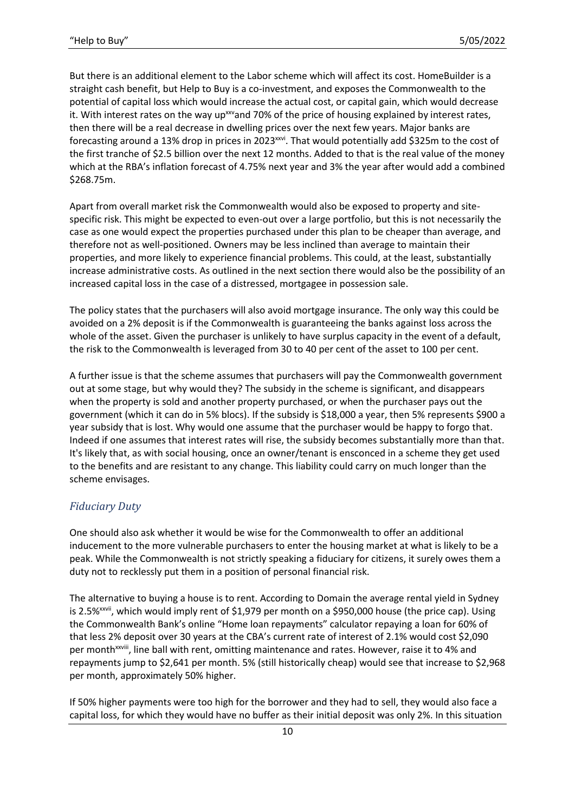But there is an additional element to the Labor scheme which will affect its cost. HomeBuilder is a straight cash benefit, but Help to Buy is a co-investment, and exposes the Commonwealth to the potential of capital loss which would increase the actual cost, or capital gain, which would decrease it. With interest rates on the way up<sup>xxv</sup>and 70% of the price of housing explained by interest rates, then there will be a real decrease in dwelling prices over the next few years. Major banks are forecasting around a 13% drop in prices in 2023<sup>xxvi</sup>. That would potentially add \$325m to the cost of the first tranche of \$2.5 billion over the next 12 months. Added to that is the real value of the money which at the RBA's inflation forecast of 4.75% next year and 3% the year after would add a combined \$268.75m.

Apart from overall market risk the Commonwealth would also be exposed to property and sitespecific risk. This might be expected to even-out over a large portfolio, but this is not necessarily the case as one would expect the properties purchased under this plan to be cheaper than average, and therefore not as well-positioned. Owners may be less inclined than average to maintain their properties, and more likely to experience financial problems. This could, at the least, substantially increase administrative costs. As outlined in the next section there would also be the possibility of an increased capital loss in the case of a distressed, mortgagee in possession sale.

The policy states that the purchasers will also avoid mortgage insurance. The only way this could be avoided on a 2% deposit is if the Commonwealth is guaranteeing the banks against loss across the whole of the asset. Given the purchaser is unlikely to have surplus capacity in the event of a default, the risk to the Commonwealth is leveraged from 30 to 40 per cent of the asset to 100 per cent.

A further issue is that the scheme assumes that purchasers will pay the Commonwealth government out at some stage, but why would they? The subsidy in the scheme is significant, and disappears when the property is sold and another property purchased, or when the purchaser pays out the government (which it can do in 5% blocs). If the subsidy is \$18,000 a year, then 5% represents \$900 a year subsidy that is lost. Why would one assume that the purchaser would be happy to forgo that. Indeed if one assumes that interest rates will rise, the subsidy becomes substantially more than that. It's likely that, as with social housing, once an owner/tenant is ensconced in a scheme they get used to the benefits and are resistant to any change. This liability could carry on much longer than the scheme envisages.

#### *Fiduciary Duty*

One should also ask whether it would be wise for the Commonwealth to offer an additional inducement to the more vulnerable purchasers to enter the housing market at what is likely to be a peak. While the Commonwealth is not strictly speaking a fiduciary for citizens, it surely owes them a duty not to recklessly put them in a position of personal financial risk.

The alternative to buying a house is to rent. According to Domain the average rental yield in Sydney is 2.5%<sup>xxvii</sup>, which would imply rent of \$1,979 per month on a \$950,000 house (the price cap). Using the Commonwealth Bank's online "Home loan repayments" calculator repaying a loan for 60% of that less 2% deposit over 30 years at the CBA's current rate of interest of 2.1% would cost \$2,090 per month<sup>xxviii</sup>, line ball with rent, omitting maintenance and rates. However, raise it to 4% and repayments jump to \$2,641 per month. 5% (still historically cheap) would see that increase to \$2,968 per month, approximately 50% higher.

If 50% higher payments were too high for the borrower and they had to sell, they would also face a capital loss, for which they would have no buffer as their initial deposit was only 2%. In this situation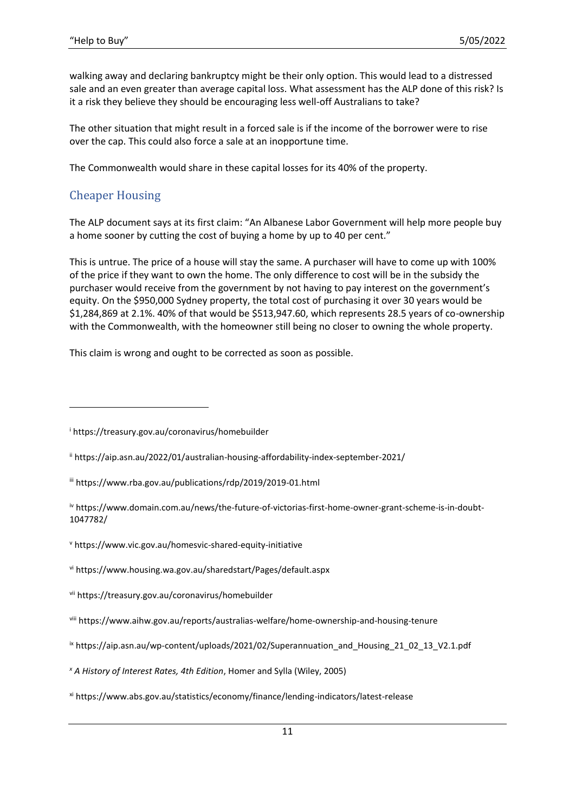walking away and declaring bankruptcy might be their only option. This would lead to a distressed sale and an even greater than average capital loss. What assessment has the ALP done of this risk? Is it a risk they believe they should be encouraging less well-off Australians to take?

The other situation that might result in a forced sale is if the income of the borrower were to rise over the cap. This could also force a sale at an inopportune time.

The Commonwealth would share in these capital losses for its 40% of the property.

## Cheaper Housing

The ALP document says at its first claim: "An Albanese Labor Government will help more people buy a home sooner by cutting the cost of buying a home by up to 40 per cent."

This is untrue. The price of a house will stay the same. A purchaser will have to come up with 100% of the price if they want to own the home. The only difference to cost will be in the subsidy the purchaser would receive from the government by not having to pay interest on the government's equity. On the \$950,000 Sydney property, the total cost of purchasing it over 30 years would be \$1,284,869 at 2.1%. 40% of that would be \$513,947.60, which represents 28.5 years of co-ownership with the Commonwealth, with the homeowner still being no closer to owning the whole property.

This claim is wrong and ought to be corrected as soon as possible.

<sup>i</sup> https://treasury.gov.au/coronavirus/homebuilder

ii https://aip.asn.au/2022/01/australian-housing-affordability-index-september-2021/

iii https://www.rba.gov.au/publications/rdp/2019/2019-01.html

iv https://www.domain.com.au/news/the-future-of-victorias-first-home-owner-grant-scheme-is-in-doubt-1047782/

<sup>v</sup> https://www.vic.gov.au/homesvic-shared-equity-initiative

vi https://www.housing.wa.gov.au/sharedstart/Pages/default.aspx

vii https://treasury.gov.au/coronavirus/homebuilder

viii https://www.aihw.gov.au/reports/australias-welfare/home-ownership-and-housing-tenure

ix https://aip.asn.au/wp-content/uploads/2021/02/Superannuation\_and\_Housing\_21\_02\_13\_V2.1.pdf

*<sup>x</sup> A History of Interest Rates, 4th Edition*, Homer and Sylla (Wiley, 2005)

xi https://www.abs.gov.au/statistics/economy/finance/lending-indicators/latest-release